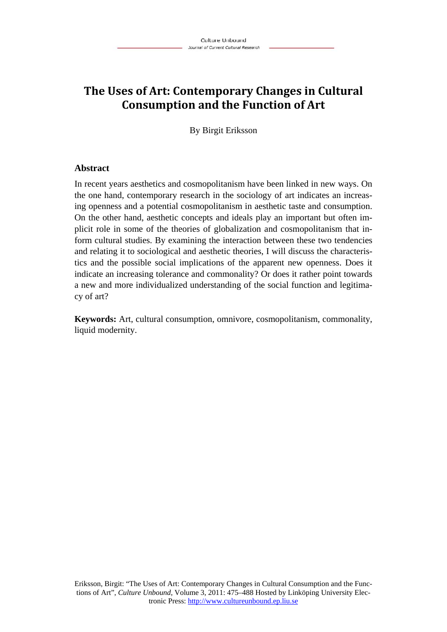# **The Uses of Art: Contemporary Changes in Cultural Consumption and the Function of Art**

By Birgit Eriksson

## **Abstract**

In recent years aesthetics and cosmopolitanism have been linked in new ways. On the one hand, contemporary research in the sociology of art indicates an increasing openness and a potential cosmopolitanism in aesthetic taste and consumption. On the other hand, aesthetic concepts and ideals play an important but often implicit role in some of the theories of globalization and cosmopolitanism that inform cultural studies. By examining the interaction between these two tendencies and relating it to sociological and aesthetic theories, I will discuss the characteristics and the possible social implications of the apparent new openness. Does it indicate an increasing tolerance and commonality? Or does it rather point towards a new and more individualized understanding of the social function and legitimacy of art?

**Keywords:** Art, cultural consumption, omnivore, cosmopolitanism, commonality, liquid modernity.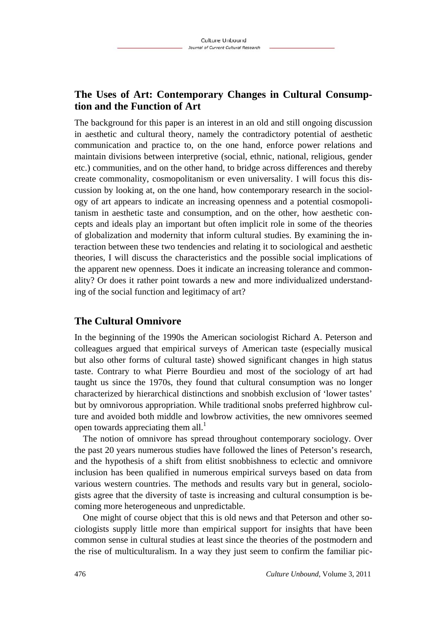# **The Uses of Art: Contemporary Changes in Cultural Consumption and the Function of Art**

The background for this paper is an interest in an old and still ongoing discussion in aesthetic and cultural theory, namely the contradictory potential of aesthetic communication and practice to, on the one hand, enforce power relations and maintain divisions between interpretive (social, ethnic, national, religious, gender etc.) communities, and on the other hand, to bridge across differences and thereby create commonality, cosmopolitanism or even universality. I will focus this discussion by looking at, on the one hand, how contemporary research in the sociology of art appears to indicate an increasing openness and a potential cosmopolitanism in aesthetic taste and consumption, and on the other, how aesthetic concepts and ideals play an important but often implicit role in some of the theories of globalization and modernity that inform cultural studies. By examining the interaction between these two tendencies and relating it to sociological and aesthetic theories, I will discuss the characteristics and the possible social implications of the apparent new openness. Does it indicate an increasing tolerance and commonality? Or does it rather point towards a new and more individualized understanding of the social function and legitimacy of art?

## **The Cultural Omnivore**

In the beginning of the 1990s the American sociologist Richard A. Peterson and colleagues argued that empirical surveys of American taste (especially musical but also other forms of cultural taste) showed significant changes in high status taste. Contrary to what Pierre Bourdieu and most of the sociology of art had taught us since the 1970s, they found that cultural consumption was no longer characterized by hierarchical distinctions and snobbish exclusion of 'lower tastes' but by omnivorous appropriation. While traditional snobs preferred highbrow culture and avoided both middle and lowbrow activities, the new omnivores seemed open towards appreciating them all. $<sup>1</sup>$ </sup>

The notion of omnivore has spread throughout contemporary sociology. Over the past 20 years numerous studies have followed the lines of Peterson's research, and the hypothesis of a shift from elitist snobbishness to eclectic and omnivore inclusion has been qualified in numerous empirical surveys based on data from various western countries. The methods and results vary but in general, sociologists agree that the diversity of taste is increasing and cultural consumption is becoming more heterogeneous and unpredictable.

One might of course object that this is old news and that Peterson and other sociologists supply little more than empirical support for insights that have been common sense in cultural studies at least since the theories of the postmodern and the rise of multiculturalism. In a way they just seem to confirm the familiar pic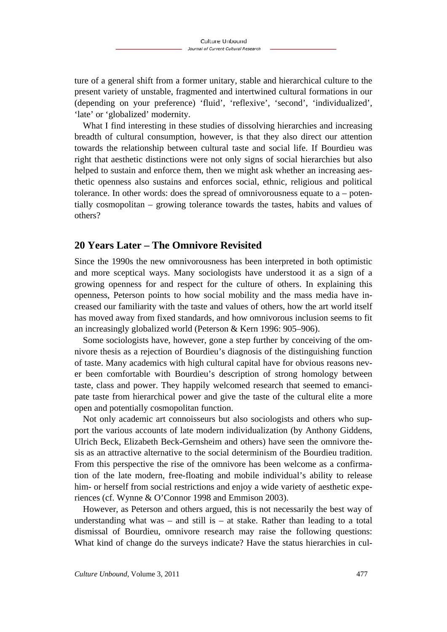ture of a general shift from a former unitary, stable and hierarchical culture to the present variety of unstable, fragmented and intertwined cultural formations in our (depending on your preference) 'fluid', 'reflexive', 'second', 'individualized', 'late' or 'globalized' modernity.

What I find interesting in these studies of dissolving hierarchies and increasing breadth of cultural consumption, however, is that they also direct our attention towards the relationship between cultural taste and social life. If Bourdieu was right that aesthetic distinctions were not only signs of social hierarchies but also helped to sustain and enforce them, then we might ask whether an increasing aesthetic openness also sustains and enforces social, ethnic, religious and political tolerance. In other words: does the spread of omnivorousness equate to  $a -$  potentially cosmopolitan – growing tolerance towards the tastes, habits and values of others?

## **20 Years Later – The Omnivore Revisited**

Since the 1990s the new omnivorousness has been interpreted in both optimistic and more sceptical ways. Many sociologists have understood it as a sign of a growing openness for and respect for the culture of others. In explaining this openness, Peterson points to how social mobility and the mass media have increased our familiarity with the taste and values of others, how the art world itself has moved away from fixed standards, and how omnivorous inclusion seems to fit an increasingly globalized world (Peterson & Kern 1996: 905–906).

Some sociologists have, however, gone a step further by conceiving of the omnivore thesis as a rejection of Bourdieu's diagnosis of the distinguishing function of taste. Many academics with high cultural capital have for obvious reasons never been comfortable with Bourdieu's description of strong homology between taste, class and power. They happily welcomed research that seemed to emancipate taste from hierarchical power and give the taste of the cultural elite a more open and potentially cosmopolitan function.

Not only academic art connoisseurs but also sociologists and others who support the various accounts of late modern individualization (by Anthony Giddens, Ulrich Beck, Elizabeth Beck-Gernsheim and others) have seen the omnivore thesis as an attractive alternative to the social determinism of the Bourdieu tradition. From this perspective the rise of the omnivore has been welcome as a confirmation of the late modern, free-floating and mobile individual's ability to release him- or herself from social restrictions and enjoy a wide variety of aesthetic experiences (cf. Wynne & O'Connor 1998 and Emmison 2003).

However, as Peterson and others argued, this is not necessarily the best way of understanding what was  $-$  and still is  $-$  at stake. Rather than leading to a total dismissal of Bourdieu, omnivore research may raise the following questions: What kind of change do the surveys indicate? Have the status hierarchies in cul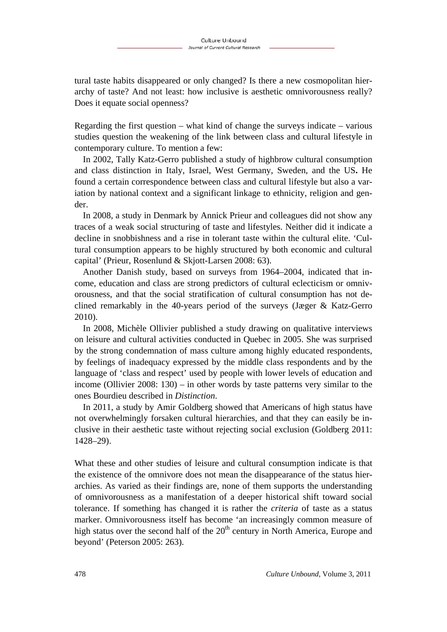tural taste habits disappeared or only changed? Is there a new cosmopolitan hierarchy of taste? And not least: how inclusive is aesthetic omnivorousness really? Does it equate social openness?

Regarding the first question – what kind of change the surveys indicate – various studies question the weakening of the link between class and cultural lifestyle in contemporary culture. To mention a few:

In 2002, Tally Katz-Gerro published a study of highbrow cultural consumption and class distinction in Italy, Israel, West Germany, Sweden, and the US**.** He found a certain correspondence between class and cultural lifestyle but also a variation by national context and a significant linkage to ethnicity, religion and gender.

In 2008, a study in Denmark by Annick Prieur and colleagues did not show any traces of a weak social structuring of taste and lifestyles. Neither did it indicate a decline in snobbishness and a rise in tolerant taste within the cultural elite. 'Cultural consumption appears to be highly structured by both economic and cultural capital' (Prieur, Rosenlund & Skjott-Larsen 2008: 63).

Another Danish study, based on surveys from 1964–2004, indicated that income, education and class are strong predictors of cultural eclecticism or omnivorousness, and that the social stratification of cultural consumption has not declined remarkably in the 40-years period of the surveys (Jæger & Katz-Gerro 2010).

In 2008, Michèle Ollivier published a study drawing on qualitative interviews on leisure and cultural activities conducted in Quebec in 2005. She was surprised by the strong condemnation of mass culture among highly educated respondents, by feelings of inadequacy expressed by the middle class respondents and by the language of 'class and respect' used by people with lower levels of education and income (Ollivier 2008: 130) – in other words by taste patterns very similar to the ones Bourdieu described in *Distinction*.

In 2011, a study by Amir Goldberg showed that Americans of high status have not overwhelmingly forsaken cultural hierarchies, and that they can easily be inclusive in their aesthetic taste without rejecting social exclusion (Goldberg 2011: 1428–29).

What these and other studies of leisure and cultural consumption indicate is that the existence of the omnivore does not mean the disappearance of the status hierarchies. As varied as their findings are, none of them supports the understanding of omnivorousness as a manifestation of a deeper historical shift toward social tolerance. If something has changed it is rather the *criteria* of taste as a status marker. Omnivorousness itself has become 'an increasingly common measure of high status over the second half of the  $20<sup>th</sup>$  century in North America, Europe and beyond' (Peterson 2005: 263).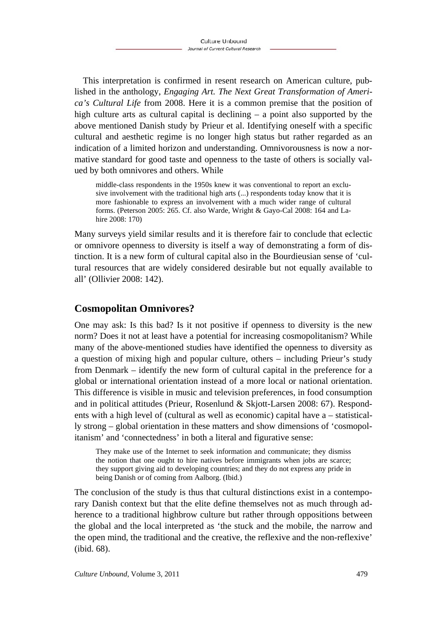This interpretation is confirmed in resent research on American culture, published in the anthology, *Engaging Art. The Next Great Transformation of America's Cultural Life* from 2008. Here it is a common premise that the position of high culture arts as cultural capital is declining – a point also supported by the above mentioned Danish study by Prieur et al. Identifying oneself with a specific cultural and aesthetic regime is no longer high status but rather regarded as an indication of a limited horizon and understanding. Omnivorousness is now a normative standard for good taste and openness to the taste of others is socially valued by both omnivores and others. While

middle-class respondents in the 1950s knew it was conventional to report an exclusive involvement with the traditional high arts (...) respondents today know that it is more fashionable to express an involvement with a much wider range of cultural forms. (Peterson 2005: 265. Cf. also Warde, Wright & Gayo-Cal 2008: 164 and Lahire 2008: 170)

Many surveys yield similar results and it is therefore fair to conclude that eclectic or omnivore openness to diversity is itself a way of demonstrating a form of distinction. It is a new form of cultural capital also in the Bourdieusian sense of 'cultural resources that are widely considered desirable but not equally available to all' (Ollivier 2008: 142).

# **Cosmopolitan Omnivores?**

One may ask: Is this bad? Is it not positive if openness to diversity is the new norm? Does it not at least have a potential for increasing cosmopolitanism? While many of the above-mentioned studies have identified the openness to diversity as a question of mixing high and popular culture, others – including Prieur's study from Denmark – identify the new form of cultural capital in the preference for a global or international orientation instead of a more local or national orientation. This difference is visible in music and television preferences, in food consumption and in political attitudes (Prieur, Rosenlund & Skjott-Larsen 2008: 67). Respondents with a high level of (cultural as well as economic) capital have a – statistically strong – global orientation in these matters and show dimensions of 'cosmopolitanism' and 'connectedness' in both a literal and figurative sense:

They make use of the Internet to seek information and communicate; they dismiss the notion that one ought to hire natives before immigrants when jobs are scarce; they support giving aid to developing countries; and they do not express any pride in being Danish or of coming from Aalborg. (Ibid.)

The conclusion of the study is thus that cultural distinctions exist in a contemporary Danish context but that the elite define themselves not as much through adherence to a traditional highbrow culture but rather through oppositions between the global and the local interpreted as 'the stuck and the mobile, the narrow and the open mind, the traditional and the creative, the reflexive and the non-reflexive' (ibid. 68).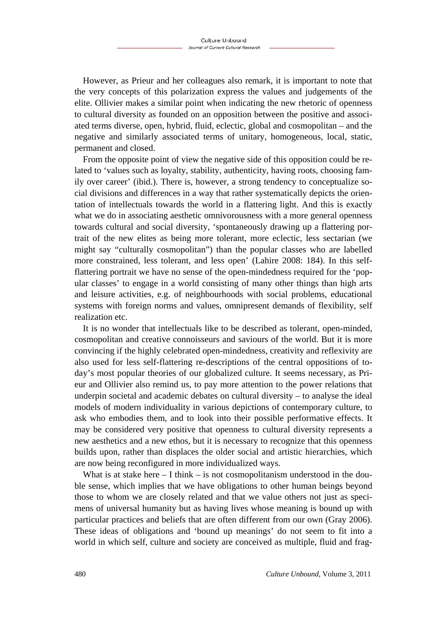However, as Prieur and her colleagues also remark, it is important to note that the very concepts of this polarization express the values and judgements of the elite. Ollivier makes a similar point when indicating the new rhetoric of openness to cultural diversity as founded on an opposition between the positive and associated terms diverse, open, hybrid, fluid, eclectic, global and cosmopolitan – and the negative and similarly associated terms of unitary, homogeneous, local, static, permanent and closed.

From the opposite point of view the negative side of this opposition could be related to 'values such as loyalty, stability, authenticity, having roots, choosing family over career' (ibid.). There is, however, a strong tendency to conceptualize social divisions and differences in a way that rather systematically depicts the orientation of intellectuals towards the world in a flattering light. And this is exactly what we do in associating aesthetic omnivorousness with a more general openness towards cultural and social diversity, 'spontaneously drawing up a flattering portrait of the new elites as being more tolerant, more eclectic, less sectarian (we might say "culturally cosmopolitan") than the popular classes who are labelled more constrained, less tolerant, and less open' (Lahire 2008: 184). In this selfflattering portrait we have no sense of the open-mindedness required for the 'popular classes' to engage in a world consisting of many other things than high arts and leisure activities, e.g. of neighbourhoods with social problems, educational systems with foreign norms and values, omnipresent demands of flexibility, self realization etc.

It is no wonder that intellectuals like to be described as tolerant, open-minded, cosmopolitan and creative connoisseurs and saviours of the world. But it is more convincing if the highly celebrated open-mindedness, creativity and reflexivity are also used for less self-flattering re-descriptions of the central oppositions of today's most popular theories of our globalized culture. It seems necessary, as Prieur and Ollivier also remind us, to pay more attention to the power relations that underpin societal and academic debates on cultural diversity – to analyse the ideal models of modern individuality in various depictions of contemporary culture, to ask who embodies them, and to look into their possible performative effects. It may be considered very positive that openness to cultural diversity represents a new aesthetics and a new ethos, but it is necessary to recognize that this openness builds upon, rather than displaces the older social and artistic hierarchies, which are now being reconfigured in more individualized ways.

What is at stake here  $- I$  think  $-$  is not cosmopolitanism understood in the double sense, which implies that we have obligations to other human beings beyond those to whom we are closely related and that we value others not just as specimens of universal humanity but as having lives whose meaning is bound up with particular practices and beliefs that are often different from our own (Gray 2006). These ideas of obligations and 'bound up meanings' do not seem to fit into a world in which self, culture and society are conceived as multiple, fluid and frag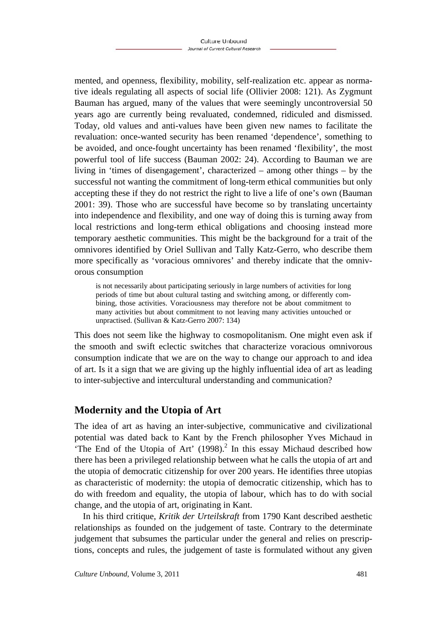mented, and openness, flexibility, mobility, self-realization etc. appear as normative ideals regulating all aspects of social life (Ollivier 2008: 121). As Zygmunt Bauman has argued, many of the values that were seemingly uncontroversial 50 years ago are currently being revaluated, condemned, ridiculed and dismissed. Today, old values and anti-values have been given new names to facilitate the revaluation: once-wanted security has been renamed 'dependence', something to be avoided, and once-fought uncertainty has been renamed 'flexibility', the most powerful tool of life success (Bauman 2002: 24). According to Bauman we are living in 'times of disengagement', characterized – among other things – by the successful not wanting the commitment of long-term ethical communities but only accepting these if they do not restrict the right to live a life of one's own (Bauman 2001: 39). Those who are successful have become so by translating uncertainty into independence and flexibility, and one way of doing this is turning away from local restrictions and long-term ethical obligations and choosing instead more temporary aesthetic communities. This might be the background for a trait of the omnivores identified by Oriel Sullivan and Tally Katz-Gerro, who describe them more specifically as 'voracious omnivores' and thereby indicate that the omnivorous consumption

is not necessarily about participating seriously in large numbers of activities for long periods of time but about cultural tasting and switching among, or differently combining, those activities. Voraciousness may therefore not be about commitment to many activities but about commitment to not leaving many activities untouched or unpractised. (Sullivan & Katz-Gerro 2007: 134)

This does not seem like the highway to cosmopolitanism. One might even ask if the smooth and swift eclectic switches that characterize voracious omnivorous consumption indicate that we are on the way to change our approach to and idea of art. Is it a sign that we are giving up the highly influential idea of art as leading to inter-subjective and intercultural understanding and communication?

## **Modernity and the Utopia of Art**

The idea of art as having an inter-subjective, communicative and civilizational potential was dated back to Kant by the French philosopher Yves Michaud in 'The End of the Utopia of Art'  $(1998)$ .<sup>2</sup> In this essay Michaud described how there has been a privileged relationship between what he calls the utopia of art and the utopia of democratic citizenship for over 200 years. He identifies three utopias as characteristic of modernity: the utopia of democratic citizenship, which has to do with freedom and equality, the utopia of labour, which has to do with social change, and the utopia of art, originating in Kant.

In his third critique, *Kritik der Urteilskraft* from 1790 Kant described aesthetic relationships as founded on the judgement of taste. Contrary to the determinate judgement that subsumes the particular under the general and relies on prescriptions, concepts and rules, the judgement of taste is formulated without any given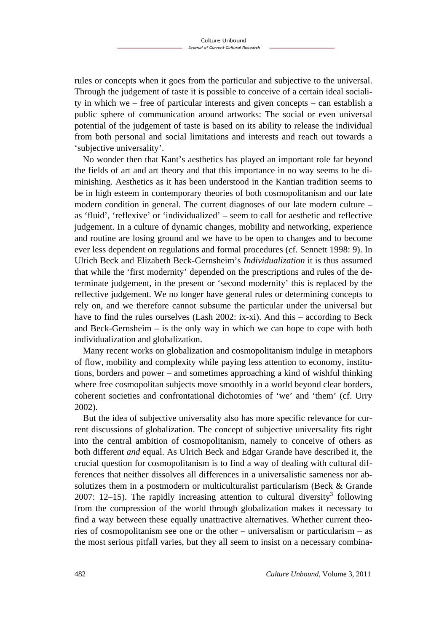rules or concepts when it goes from the particular and subjective to the universal. Through the judgement of taste it is possible to conceive of a certain ideal sociality in which we – free of particular interests and given concepts – can establish a public sphere of communication around artworks: The social or even universal potential of the judgement of taste is based on its ability to release the individual from both personal and social limitations and interests and reach out towards a 'subjective universality'.

No wonder then that Kant's aesthetics has played an important role far beyond the fields of art and art theory and that this importance in no way seems to be diminishing. Aesthetics as it has been understood in the Kantian tradition seems to be in high esteem in contemporary theories of both cosmopolitanism and our late modern condition in general. The current diagnoses of our late modern culture – as 'fluid', 'reflexive' or 'individualized' – seem to call for aesthetic and reflective judgement. In a culture of dynamic changes, mobility and networking, experience and routine are losing ground and we have to be open to changes and to become ever less dependent on regulations and formal procedures (cf. Sennett 1998: 9). In Ulrich Beck and Elizabeth Beck-Gernsheim's *Individualization* it is thus assumed that while the 'first modernity' depended on the prescriptions and rules of the determinate judgement, in the present or 'second modernity' this is replaced by the reflective judgement. We no longer have general rules or determining concepts to rely on, and we therefore cannot subsume the particular under the universal but have to find the rules ourselves (Lash 2002: ix-xi). And this  $-$  according to Beck and Beck-Gernsheim – is the only way in which we can hope to cope with both individualization and globalization.

Many recent works on globalization and cosmopolitanism indulge in metaphors of flow, mobility and complexity while paying less attention to economy, institutions, borders and power – and sometimes approaching a kind of wishful thinking where free cosmopolitan subjects move smoothly in a world beyond clear borders, coherent societies and confrontational dichotomies of 'we' and 'them' (cf. Urry 2002).

But the idea of subjective universality also has more specific relevance for current discussions of globalization. The concept of subjective universality fits right into the central ambition of cosmopolitanism, namely to conceive of others as both different *and* equal. As Ulrich Beck and Edgar Grande have described it, the crucial question for cosmopolitanism is to find a way of dealing with cultural differences that neither dissolves all differences in a universalistic sameness nor absolutizes them in a postmodern or multiculturalist particularism (Beck & Grande 2007: 12–15). The rapidly increasing attention to cultural diversity<sup>3</sup> following from the compression of the world through globalization makes it necessary to find a way between these equally unattractive alternatives. Whether current theories of cosmopolitanism see one or the other – universalism or particularism – as the most serious pitfall varies, but they all seem to insist on a necessary combina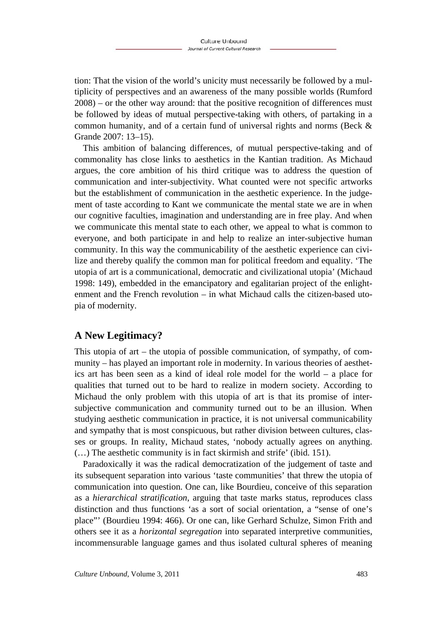tion: That the vision of the world's unicity must necessarily be followed by a multiplicity of perspectives and an awareness of the many possible worlds (Rumford 2008) – or the other way around: that the positive recognition of differences must be followed by ideas of mutual perspective-taking with others, of partaking in a common humanity, and of a certain fund of universal rights and norms (Beck & Grande 2007: 13–15).

This ambition of balancing differences, of mutual perspective-taking and of commonality has close links to aesthetics in the Kantian tradition. As Michaud argues, the core ambition of his third critique was to address the question of communication and inter-subjectivity. What counted were not specific artworks but the establishment of communication in the aesthetic experience. In the judgement of taste according to Kant we communicate the mental state we are in when our cognitive faculties, imagination and understanding are in free play. And when we communicate this mental state to each other, we appeal to what is common to everyone, and both participate in and help to realize an inter-subjective human community. In this way the communicability of the aesthetic experience can civilize and thereby qualify the common man for political freedom and equality. 'The utopia of art is a communicational, democratic and civilizational utopia' (Michaud 1998: 149), embedded in the emancipatory and egalitarian project of the enlightenment and the French revolution – in what Michaud calls the citizen-based utopia of modernity.

## **A New Legitimacy?**

This utopia of art – the utopia of possible communication, of sympathy, of community – has played an important role in modernity. In various theories of aesthetics art has been seen as a kind of ideal role model for the world – a place for qualities that turned out to be hard to realize in modern society. According to Michaud the only problem with this utopia of art is that its promise of intersubjective communication and community turned out to be an illusion. When studying aesthetic communication in practice, it is not universal communicability and sympathy that is most conspicuous, but rather division between cultures, classes or groups. In reality, Michaud states, 'nobody actually agrees on anything. (…) The aesthetic community is in fact skirmish and strife' (ibid. 151).

Paradoxically it was the radical democratization of the judgement of taste and its subsequent separation into various 'taste communities' that threw the utopia of communication into question. One can, like Bourdieu, conceive of this separation as a *hierarchical stratification*, arguing that taste marks status, reproduces class distinction and thus functions 'as a sort of social orientation, a "sense of one's place"' (Bourdieu 1994: 466). Or one can, like Gerhard Schulze, Simon Frith and others see it as a *horizontal segregation* into separated interpretive communities, incommensurable language games and thus isolated cultural spheres of meaning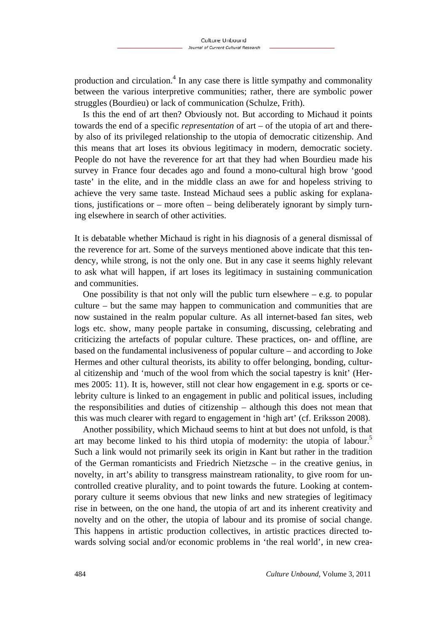production and circulation.<sup>4</sup> In any case there is little sympathy and commonality between the various interpretive communities; rather, there are symbolic power struggles (Bourdieu) or lack of communication (Schulze, Frith).

Is this the end of art then? Obviously not. But according to Michaud it points towards the end of a specific *representation* of art – of the utopia of art and thereby also of its privileged relationship to the utopia of democratic citizenship. And this means that art loses its obvious legitimacy in modern, democratic society. People do not have the reverence for art that they had when Bourdieu made his survey in France four decades ago and found a mono-cultural high brow 'good taste' in the elite, and in the middle class an awe for and hopeless striving to achieve the very same taste. Instead Michaud sees a public asking for explanations, justifications or – more often – being deliberately ignorant by simply turning elsewhere in search of other activities.

It is debatable whether Michaud is right in his diagnosis of a general dismissal of the reverence for art. Some of the surveys mentioned above indicate that this tendency, while strong, is not the only one. But in any case it seems highly relevant to ask what will happen, if art loses its legitimacy in sustaining communication and communities.

One possibility is that not only will the public turn elsewhere  $-$  e.g. to popular culture – but the same may happen to communication and communities that are now sustained in the realm popular culture. As all internet-based fan sites, web logs etc. show, many people partake in consuming, discussing, celebrating and criticizing the artefacts of popular culture. These practices, on- and offline, are based on the fundamental inclusiveness of popular culture – and according to Joke Hermes and other cultural theorists, its ability to offer belonging, bonding, cultural citizenship and 'much of the wool from which the social tapestry is knit' (Hermes 2005: 11). It is, however, still not clear how engagement in e.g. sports or celebrity culture is linked to an engagement in public and political issues, including the responsibilities and duties of citizenship – although this does not mean that this was much clearer with regard to engagement in 'high art' (cf. Eriksson 2008).

Another possibility, which Michaud seems to hint at but does not unfold, is that art may become linked to his third utopia of modernity: the utopia of labour.<sup>5</sup> Such a link would not primarily seek its origin in Kant but rather in the tradition of the German romanticists and Friedrich Nietzsche – in the creative genius, in novelty, in art's ability to transgress mainstream rationality, to give room for uncontrolled creative plurality, and to point towards the future. Looking at contemporary culture it seems obvious that new links and new strategies of legitimacy rise in between, on the one hand, the utopia of art and its inherent creativity and novelty and on the other, the utopia of labour and its promise of social change. This happens in artistic production collectives, in artistic practices directed towards solving social and/or economic problems in 'the real world', in new crea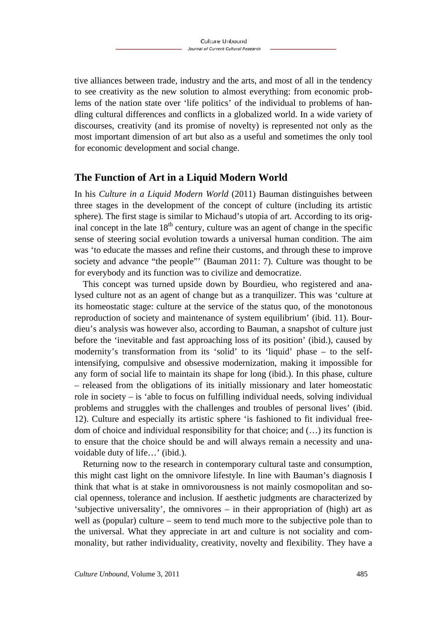tive alliances between trade, industry and the arts, and most of all in the tendency to see creativity as the new solution to almost everything: from economic problems of the nation state over 'life politics' of the individual to problems of handling cultural differences and conflicts in a globalized world. In a wide variety of discourses, creativity (and its promise of novelty) is represented not only as the most important dimension of art but also as a useful and sometimes the only tool for economic development and social change.

## **The Function of Art in a Liquid Modern World**

In his *Culture in a Liquid Modern World* (2011) Bauman distinguishes between three stages in the development of the concept of culture (including its artistic sphere). The first stage is similar to Michaud's utopia of art. According to its original concept in the late  $18<sup>th</sup>$  century, culture was an agent of change in the specific sense of steering social evolution towards a universal human condition. The aim was 'to educate the masses and refine their customs, and through these to improve society and advance "the people"' (Bauman 2011: 7). Culture was thought to be for everybody and its function was to civilize and democratize.

This concept was turned upside down by Bourdieu, who registered and analysed culture not as an agent of change but as a tranquilizer. This was 'culture at its homeostatic stage: culture at the service of the status quo, of the monotonous reproduction of society and maintenance of system equilibrium' (ibid. 11). Bourdieu's analysis was however also, according to Bauman, a snapshot of culture just before the 'inevitable and fast approaching loss of its position' (ibid.), caused by modernity's transformation from its 'solid' to its 'liquid' phase – to the selfintensifying, compulsive and obsessive modernization, making it impossible for any form of social life to maintain its shape for long (ibid.). In this phase, culture – released from the obligations of its initially missionary and later homeostatic role in society – is 'able to focus on fulfilling individual needs, solving individual problems and struggles with the challenges and troubles of personal lives' (ibid. 12). Culture and especially its artistic sphere 'is fashioned to fit individual freedom of choice and individual responsibility for that choice; and (…) its function is to ensure that the choice should be and will always remain a necessity and unavoidable duty of life…' (ibid.).

Returning now to the research in contemporary cultural taste and consumption, this might cast light on the omnivore lifestyle. In line with Bauman's diagnosis I think that what is at stake in omnivorousness is not mainly cosmopolitan and social openness, tolerance and inclusion. If aesthetic judgments are characterized by 'subjective universality', the omnivores – in their appropriation of (high) art as well as (popular) culture – seem to tend much more to the subjective pole than to the universal. What they appreciate in art and culture is not sociality and commonality, but rather individuality, creativity, novelty and flexibility. They have a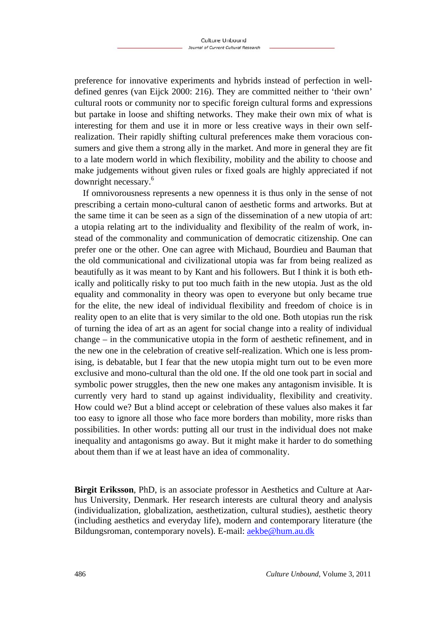preference for innovative experiments and hybrids instead of perfection in welldefined genres (van Eijck 2000: 216). They are committed neither to 'their own' cultural roots or community nor to specific foreign cultural forms and expressions but partake in loose and shifting networks. They make their own mix of what is interesting for them and use it in more or less creative ways in their own selfrealization. Their rapidly shifting cultural preferences make them voracious consumers and give them a strong ally in the market. And more in general they are fit to a late modern world in which flexibility, mobility and the ability to choose and make judgements without given rules or fixed goals are highly appreciated if not downright necessary.6

If omnivorousness represents a new openness it is thus only in the sense of not prescribing a certain mono-cultural canon of aesthetic forms and artworks. But at the same time it can be seen as a sign of the dissemination of a new utopia of art: a utopia relating art to the individuality and flexibility of the realm of work, instead of the commonality and communication of democratic citizenship. One can prefer one or the other. One can agree with Michaud, Bourdieu and Bauman that the old communicational and civilizational utopia was far from being realized as beautifully as it was meant to by Kant and his followers. But I think it is both ethically and politically risky to put too much faith in the new utopia. Just as the old equality and commonality in theory was open to everyone but only became true for the elite, the new ideal of individual flexibility and freedom of choice is in reality open to an elite that is very similar to the old one. Both utopias run the risk of turning the idea of art as an agent for social change into a reality of individual change – in the communicative utopia in the form of aesthetic refinement, and in the new one in the celebration of creative self-realization. Which one is less promising, is debatable, but I fear that the new utopia might turn out to be even more exclusive and mono-cultural than the old one. If the old one took part in social and symbolic power struggles, then the new one makes any antagonism invisible. It is currently very hard to stand up against individuality, flexibility and creativity. How could we? But a blind accept or celebration of these values also makes it far too easy to ignore all those who face more borders than mobility, more risks than possibilities. In other words: putting all our trust in the individual does not make inequality and antagonisms go away. But it might make it harder to do something about them than if we at least have an idea of commonality.

**Birgit Eriksson**, PhD, is an associate professor in Aesthetics and Culture at Aarhus University, Denmark. Her research interests are cultural theory and analysis (individualization, globalization, aesthetization, cultural studies), aesthetic theory (including aesthetics and everyday life), modern and contemporary literature (the Bildungsroman, contemporary novels). E-mail: aekbe@hum.au.dk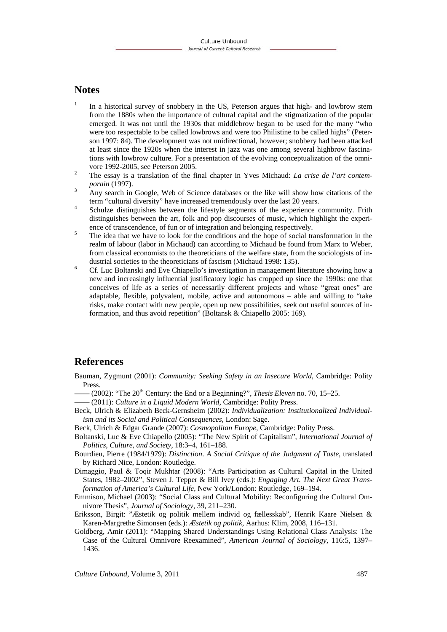## **Notes**

- 1 In a historical survey of snobbery in the US, Peterson argues that high- and lowbrow stem from the 1880s when the importance of cultural capital and the stigmatization of the popular emerged. It was not until the 1930s that middlebrow began to be used for the many "who were too respectable to be called lowbrows and were too Philistine to be called highs" (Peterson 1997: 84). The development was not unidirectional, however; snobbery had been attacked at least since the 1920s when the interest in jazz was one among several highbrow fascinations with lowbrow culture. For a presentation of the evolving conceptualization of the omnivore 1992-2005, see Peterson 2005.
- The essay is a translation of the final chapter in Yves Michaud: *La crise de l'art contemporain* (1997).
- Any search in Google, Web of Science databases or the like will show how citations of the term "cultural diversity" have increased tremendously over the last 20 years.
- Schulze distinguishes between the lifestyle segments of the experience community. Frith distinguishes between the art, folk and pop discourses of music, which highlight the experience of transcendence, of fun or of integration and belonging respectively.
- The idea that we have to look for the conditions and the hope of social transformation in the realm of labour (labor in Michaud) can according to Michaud be found from Marx to Weber, from classical economists to the theoreticians of the welfare state, from the sociologists of industrial societies to the theoreticians of fascism (Michaud 1998: 135).
- Cf. Luc Boltanski and Eve Chiapello's investigation in management literature showing how a new and increasingly influential justificatory logic has cropped up since the 1990s: one that conceives of life as a series of necessarily different projects and whose "great ones" are adaptable, flexible, polyvalent, mobile, active and autonomous – able and willing to "take risks, make contact with new people, open up new possibilities, seek out useful sources of information, and thus avoid repetition" (Boltansk & Chiapello 2005: 169).

#### **References**

- Bauman, Zygmunt (2001): *Community: Seeking Safety in an Insecure World*, Cambridge: Polity Press.
- $-(2002)$ : "The  $20<sup>th</sup>$  Century: the End or a Beginning?", *Thesis Eleven* no. 70, 15–25.
- (2011): *Culture in a Liquid Modern World*, Cambridge: Polity Press.
- Beck, Ulrich & Elizabeth Beck-Gernsheim (2002): *Individualization: Institutionalized Individualism and its Social and Political Consequences*, London: Sage.
- Beck, Ulrich & Edgar Grande (2007): *Cosmopolitan Europe*, Cambridge: Polity Press.
- Boltanski, Luc & Eve Chiapello (2005): "The New Spirit of Capitalism", *International Journal of Politics, Culture, and Society*, 18:3–4, 161–188.
- Bourdieu, Pierre (1984/1979): *Distinction*. *A Social Critique of the Judgment of Taste*, translated by Richard Nice, London: Routledge.
- Dimaggio, Paul & Toqir Mukhtar (2008): "Arts Participation as Cultural Capital in the United States, 1982–2002", Steven J. Tepper & Bill Ivey (eds.): *Engaging Art. The Next Great Transformation of America's Cultural Life*, New York/London: Routledge, 169–194.
- Emmison, Michael (2003): "Social Class and Cultural Mobility: Reconfiguring the Cultural Omnivore Thesis", *Journal of Sociology*, 39, 211–230.
- Eriksson, Birgit: "Æstetik og politik mellem individ og fællesskab", Henrik Kaare Nielsen & Karen-Margrethe Simonsen (eds.): *Æstetik og politik*, Aarhus: Klim, 2008, 116–131.
- Goldberg, Amir (2011): "Mapping Shared Understandings Using Relational Class Analysis: The Case of the Cultural Omnivore Reexamined", *American Journal of Sociology*, 116:5, 1397– 1436.